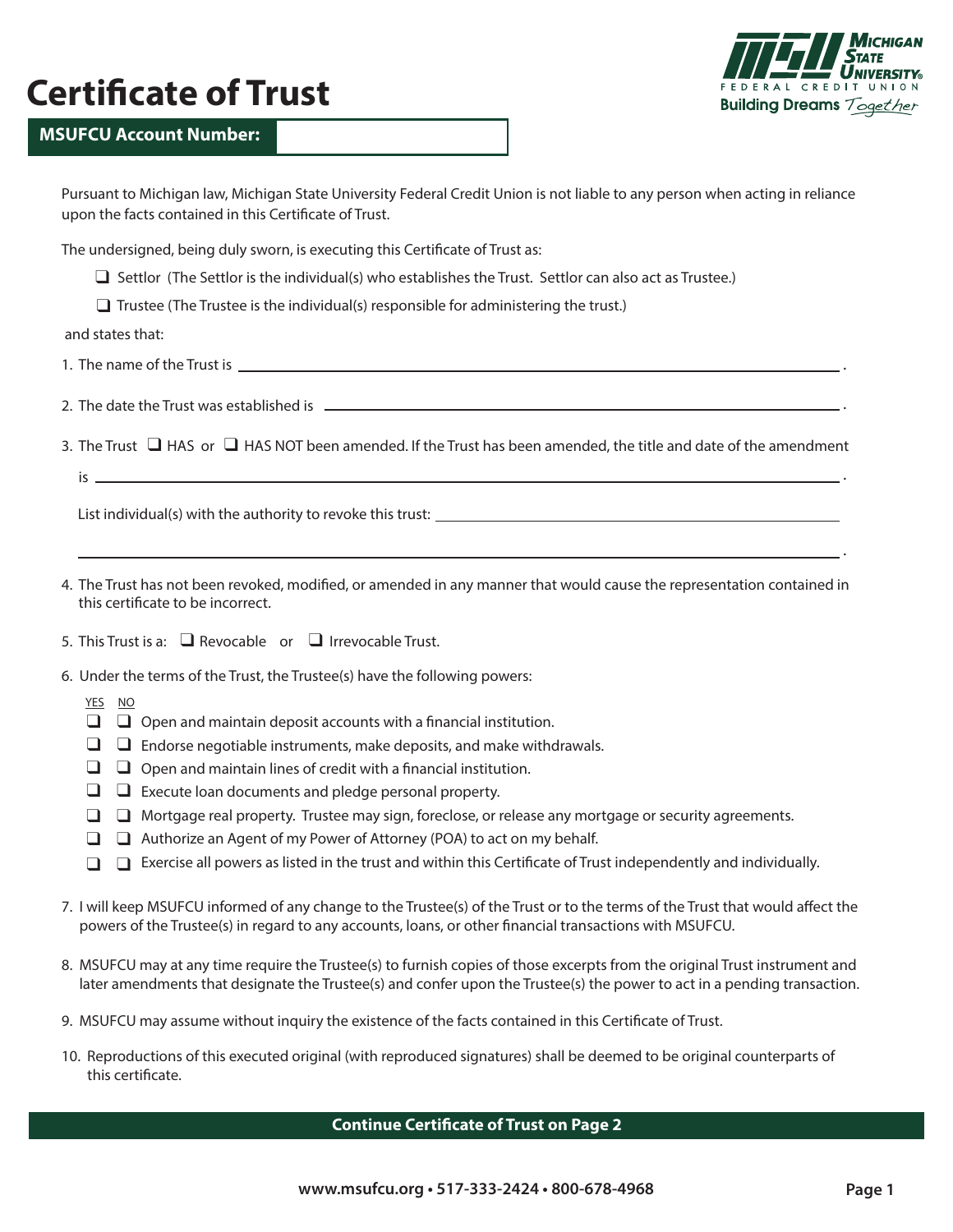# **Certificate of Trust**



.

.

.

.

### **MSUFCU Account Number:**

| Pursuant to Michigan law, Michigan State University Federal Credit Union is not liable to any person when acting in reliance |
|------------------------------------------------------------------------------------------------------------------------------|
| upon the facts contained in this Certificate of Trust.                                                                       |
|                                                                                                                              |
| The undersigned, being duly sworn, is executing this Certificate of Trust as:                                                |

- □ Settlor (The Settlor is the individual(s) who establishes the Trust. Settlor can also act as Trustee.)
- $\Box$  Trustee (The Trustee is the individual(s) responsible for administering the trust.)

and states that:

- 1. The name of the Trust is
- 2. The date the Trust was established is
- 3. The Trust  $\Box$  HAS or  $\Box$  HAS NOT been amended. If the Trust has been amended, the title and date of the amendment

 $is$   $\overline{\phantom{a}}$ 

List individual(s) with the authority to revoke this trust:

- 4. The Trust has not been revoked, modified, or amended in any manner that would cause the representation contained in this certificate to be incorrect.
- 5. This Trust is a:  $\Box$  Revocable or  $\Box$  Irrevocable Trust.
- 6. Under the terms of the Trust, the Trustee(s) have the following powers:
	- YES NO
	- $\Box$   $\Box$  Open and maintain deposit accounts with a financial institution.
	- Endorse negotiable instruments, make deposits, and make withdrawals. ❑ ❑
	- $\Box$   $\Box$  Open and maintain lines of credit with a financial institution.
	- $\Box$   $\Box$  Execute loan documents and pledge personal property.
	- □ □ Mortgage real property. Trustee may sign, foreclose, or release any mortgage or security agreements.
	- □ □ Authorize an Agent of my Power of Attorney (POA) to act on my behalf.
	- □ □ Exercise all powers as listed in the trust and within this Certificate of Trust independently and individually.
- 7. I will keep MSUFCU informed of any change to the Trustee(s) of the Trust or to the terms of the Trust that would affect the powers of the Trustee(s) in regard to any accounts, loans, or other financial transactions with MSUFCU.
- 8. MSUFCU may at any time require the Trustee(s) to furnish copies of those excerpts from the original Trust instrument and later amendments that designate the Trustee(s) and confer upon the Trustee(s) the power to act in a pending transaction.
- 9. MSUFCU may assume without inquiry the existence of the facts contained in this Certificate of Trust.
- 10. Reproductions of this executed original (with reproduced signatures) shall be deemed to be original counterparts of this certificate.

#### **Continue Certificate of Trust on Page 2**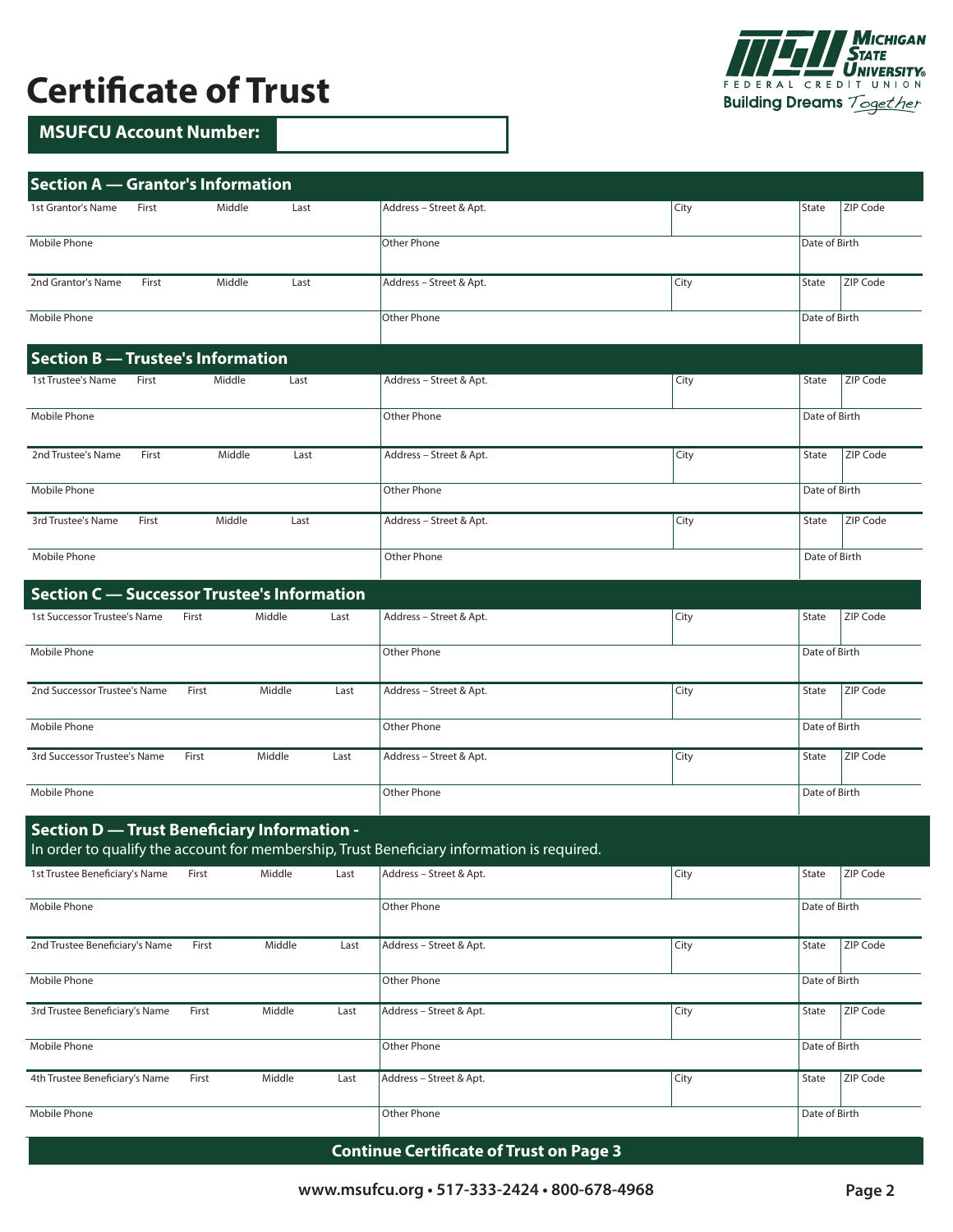## **Certificate of Trust**

## **MSUFCU Account Number:**

| <b>Section A - Grantor's Information</b>           |       |        |        |      |                                                                                            |      |               |          |
|----------------------------------------------------|-------|--------|--------|------|--------------------------------------------------------------------------------------------|------|---------------|----------|
| 1st Grantor's Name                                 | First | Middle | Last   |      | Address - Street & Apt.                                                                    | City | <b>State</b>  | ZIP Code |
| Mobile Phone                                       |       |        |        |      | <b>Other Phone</b>                                                                         |      | Date of Birth |          |
| 2nd Grantor's Name                                 | First | Middle | Last   |      | Address - Street & Apt.                                                                    | City | State         | ZIP Code |
| Mobile Phone                                       |       |        |        |      | Other Phone                                                                                |      | Date of Birth |          |
| <b>Section B - Trustee's Information</b>           |       |        |        |      |                                                                                            |      |               |          |
| 1st Trustee's Name                                 | First | Middle | Last   |      | Address - Street & Apt.                                                                    | City | State         | ZIP Code |
| Mobile Phone                                       |       |        |        |      | Other Phone                                                                                |      | Date of Birth |          |
| 2nd Trustee's Name                                 | First | Middle | Last   |      | Address - Street & Apt.                                                                    | City | State         | ZIP Code |
| Mobile Phone                                       |       |        |        |      | Other Phone                                                                                |      | Date of Birth |          |
| 3rd Trustee's Name                                 | First | Middle | Last   |      | Address - Street & Apt.                                                                    | City | State         | ZIP Code |
| Mobile Phone                                       |       |        |        |      | <b>Other Phone</b>                                                                         |      | Date of Birth |          |
| <b>Section C</b> — Successor Trustee's Information |       |        |        |      |                                                                                            |      |               |          |
| 1st Successor Trustee's Name                       |       | First  | Middle | Last | Address - Street & Apt.                                                                    | City | State         | ZIP Code |
| Mobile Phone                                       |       |        |        |      | Other Phone                                                                                |      | Date of Birth |          |
| 2nd Successor Trustee's Name                       |       | First  | Middle | Last | Address - Street & Apt.                                                                    | City | State         | ZIP Code |
| Mobile Phone                                       |       |        |        |      | Other Phone                                                                                |      | Date of Birth |          |
| 3rd Successor Trustee's Name                       |       | First  | Middle | Last | Address - Street & Apt.                                                                    | City | State         | ZIP Code |
| Mobile Phone                                       |       |        |        |      | Other Phone                                                                                |      | Date of Birth |          |
| <b>Section D - Trust Beneficiary Information -</b> |       |        |        |      | In order to qualify the account for membership, Trust Beneficiary information is required. |      |               |          |
| 1st Trustee Beneficiary's Name                     |       | First  | Middle | Last | Address - Street & Apt.                                                                    | City | State         | ZIP Code |
| Mobile Phone                                       |       |        |        |      | Other Phone                                                                                |      | Date of Birth |          |
| 2nd Trustee Beneficiary's Name                     |       | First  | Middle | Last | Address - Street & Apt.                                                                    | City | State         | ZIP Code |
| Mobile Phone                                       |       |        |        |      | Other Phone                                                                                |      | Date of Birth |          |
| 3rd Trustee Beneficiary's Name                     |       | First  | Middle | Last | Address - Street & Apt.                                                                    | City | State         | ZIP Code |
| Mobile Phone                                       |       |        |        |      | Other Phone                                                                                |      | Date of Birth |          |
| 4th Trustee Beneficiary's Name                     |       | First  | Middle | Last | Address - Street & Apt.                                                                    | City | State         | ZIP Code |
| Mobile Phone                                       |       |        |        |      | Other Phone                                                                                |      | Date of Birth |          |

### **Continue Certificate of Trust on Page 3**